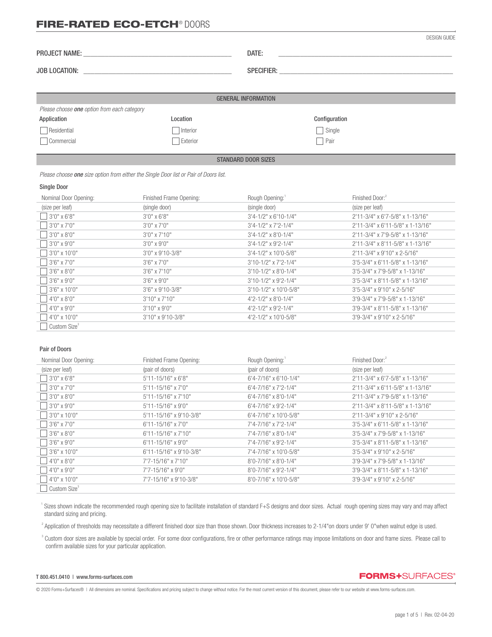|                                             |          | DATE:                      |               |
|---------------------------------------------|----------|----------------------------|---------------|
|                                             |          | <b>GENERAL INFORMATION</b> |               |
| Please choose one option from each category |          |                            |               |
| Application                                 | Location |                            | Configuration |
| Residential                                 | Interior |                            | $\Box$ Single |
| □ Commercial                                | Exterior |                            | Pair          |
|                                             |          | $Q = 1$                    |               |

STANDARD DOOR SIZES

 *Please choose one size option from either the Single Door list or Pair of Doors list.*

### Single Door

| Nominal Door Opening:    | Finished Frame Opening: | Rough Opening:                   | Finished Door: <sup>2</sup>               |
|--------------------------|-------------------------|----------------------------------|-------------------------------------------|
| (size per leaf)          | (single door)           | (single door)                    | (size per leaf)                           |
| $13'0''$ x 6'8"          | $3'0''$ x 6'8"          | $3'4 - 1/2''$ x 6'10-1/4"        | 2'11-3/4" x 6'7-5/8" x 1-13/16"           |
| $13'0''$ x 7'0"          | $3'0''$ x $7'0''$       | $3'4 - 1/2''$ x $7'2 - 1/4''$    | 2'11-3/4" x 6'11-5/8" x 1-13/16"          |
| $13'0''$ x 8'0"          | $3'0''$ x 7'10"         | $3'4 - 1/2''$ x 8'0-1/4"         | $2'11 - 3/4''$ x 7'9-5/8" x 1-13/16"      |
| $3'0''$ x 9'0"           | $3'0''$ x 9'0"          | $3'4 - 1/2''$ x 9'2-1/4"         | 2'11-3/4" x 8'11-5/8" x 1-13/16"          |
| $13'0''$ x 10'0"         | $3'0''$ x 9'10-3/8"     | $3'4 - 1/2''$ x 10'0-5/8"        | 2'11-3/4" x 9'10" x 2-5/16"               |
| $13'6'' \times 7'0''$    | $3'6''$ x 7'0"          | $3'10-1/2"$ x 7'2-1/4"           | 3'5-3/4" x 6'11-5/8" x 1-13/16"           |
| $3'6'' \times 8'0''$     | $3'6''$ x $7'10''$      | $3'10-1/2"$ x 8'0-1/4"           | $3'5 - 3/4''$ x 7'9-5/8" x 1-13/16"       |
| $3'6'' \times 9'0''$     | $3'6'' \times 9'0''$    | $3'10-1/2"$ x 9'2-1/4"           | $3'5 - 3/4''$ x 8'11-5/8" x 1-13/16"      |
| $13'6''$ x 10'0"         | $3'6''$ x 9'10-3/8"     | $3'10-1/2"$ x 10'0-5/8"          | $3'5 - 3/4''$ x 9'10" x 2-5/16"           |
| $14'0''$ x 8'0"          | $3'10''$ x 7'10"        | $4'2 - 1/2'' \times 8'0 - 1/4''$ | 3'9-3/4" x 7'9-5/8" x 1-13/16"            |
| $14'0''$ x 9'0"          | $3'10''$ x 9'0"         | $4'2 - 1/2''$ x 9'2-1/4"         | $3'9 - 3/4''$ x $8'11 - 5/8''$ x 1-13/16" |
| $14'0''$ x 10'0"         | 3'10" x 9'10-3/8"       | 4'2-1/2" x 10'0-5/8"             | $3'9 - 3/4''$ x 9'10" x 2-5/16"           |
| Custom Size <sup>3</sup> |                         |                                  |                                           |

#### Pair of Doors

| Nominal Door Opening:    | Finished Frame Opening:     | Rough Opening:                 | Finished Door: <sup>2</sup>        |
|--------------------------|-----------------------------|--------------------------------|------------------------------------|
| (size per leaf)          | (pair of doors)             | (pair of doors)                | (size per leaf)                    |
| $3'0''$ x 6'8"           | $5'11 - 15/16''$ x 6'8"     | 6'4-7/16" x 6'10-1/4"          | 2'11-3/4" x 6'7-5/8" x 1-13/16"    |
| $3'0''$ x 7'0"           | $5'11 - 15/16''$ x $7'0''$  | $6'4 - 7/16''$ x 7'2-1/4"      | $2'11-3/4"$ x 6'11-5/8" x 1-13/16" |
| $3'0''$ x 8'0"           | 5'11-15/16" x 7'10"         | 6'4-7/16" x 8'0-1/4"           | 2'11-3/4" x 7'9-5/8" x 1-13/16"    |
| $3'0''$ x 9'0"           | 5'11-15/16" x 9'0"          | $6'4 - 7/16''$ x 9'2-1/4"      | 2'11-3/4" x 8'11-5/8" x 1-13/16"   |
| $3'0''$ x 10'0"          | 5'11-15/16" x 9'10-3/8"     | 6'4-7/16" x 10'0-5/8"          | 2'11-3/4" x 9'10" x 2-5/16"        |
| $13'6''$ x 7'0"          | $6'11 - 15/16''$ x $7'0''$  | 7'4-7/16" x 7'2-1/4"           | 3'5-3/4" x 6'11-5/8" x 1-13/16"    |
| $3'6'' \times 8'0''$     | $6'11 - 15/16''$ x $7'10''$ | 7'4-7/16" x 8'0-1/4"           | 3'5-3/4" x 7'9-5/8" x 1-13/16"     |
| $13'6''$ x 9'0"          | $6'11 - 15/16''$ x 9'0"     | 7'4-7/16" x 9'2-1/4"           | 3'5-3/4" x 8'11-5/8" x 1-13/16"    |
| $13'6''$ x 10'0"         | 6'11-15/16" x 9'10-3/8"     | 7'4-7/16" x 10'0-5/8"          | $3'5 - 3/4''$ x 9'10" x 2-5/16"    |
| 4'0" x 8'0"              | 7'7-15/16" x 7'10"          | $8'0 - 7/16''$ x $8'0 - 1/4''$ | 3'9-3/4" x 7'9-5/8" x 1-13/16"     |
| $14'0''$ x 9'0"          | 7'7-15/16" x 9'0"           | 8'0-7/16" x 9'2-1/4"           | 3'9-3/4" x 8'11-5/8" x 1-13/16"    |
| $ 4'0'' \times 10'0''$   | 7'7-15/16" x 9'10-3/8"      | 8'0-7/16" x 10'0-5/8"          | 3'9-3/4" x 9'10" x 2-5/16"         |
| Custom Size <sup>3</sup> |                             |                                |                                    |

<sup>1</sup> Sizes shown indicate the recommended rough opening size to facilitate installation of standard F+S designs and door sizes. Actual rough opening sizes may vary and may affect standard sizing and pricing.

<sup>2</sup> Application of thresholds may necessitate a different finished door size than those shown. Door thickness increases to 2-1/4"on doors under 9' 0"when walnut edge is used.

<sup>3</sup> Custom door sizes are available by special order. For some door configurations, fire or other performance ratings may impose limitations on door and frame sizes. Please call to confirm available sizes for your particular application.

#### T 800.451.0410 | www.forms-surfaces.com

**FORMS+**SURFACES®

© 2020 Forms+Surfaces® | All dimensions are nominal. Specifications and pricing subject to change without notice. For the most current version of this document, please refer to our website at www.forms-surfaces.com.

DESIGN GUIDE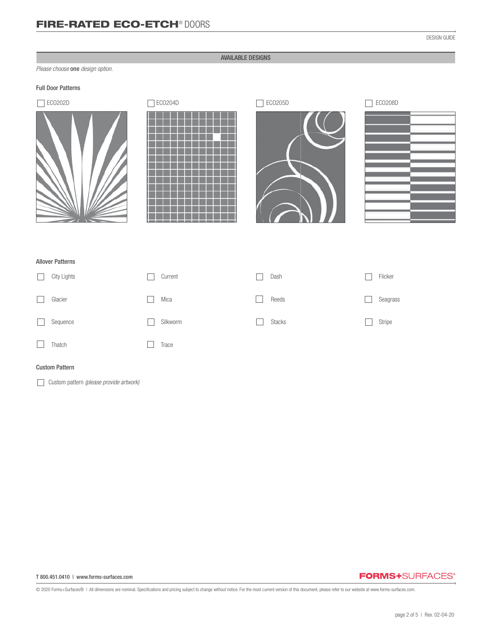## AVAILABLE DESIGNS

*Please choose* one *design option.*

## Full Door Patterns









## Allover Patterns

| City Lights | Current  | Dash          | Flicker  |
|-------------|----------|---------------|----------|
| Glacier     | Mica     | Reeds         | Seagrass |
| Sequence    | Silkworm | <b>Stacks</b> | Stripe   |
| Thatch      | Trace    |               |          |

### Custom Pattern

Custom pattern *(please provide artwork)*

#### T 800.451.0410 | www.forms-surfaces.com

## **FORMS+**SURFACES®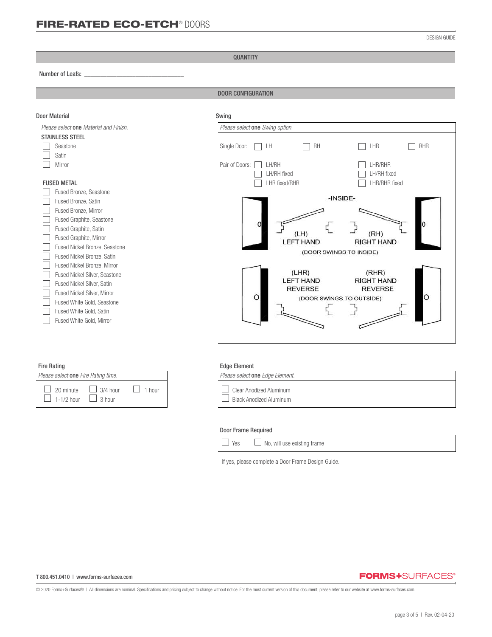QUANTITY

#### Number of Leafs: *\_\_\_\_\_\_\_\_\_\_\_\_\_\_\_\_\_\_\_\_\_\_\_\_\_\_\_\_\_\_\_*

֦

DOOR CONFIGURATION

| <b>Door Material</b>                                                                                                                                                                                                                               | Swing                                                                                                                                   |
|----------------------------------------------------------------------------------------------------------------------------------------------------------------------------------------------------------------------------------------------------|-----------------------------------------------------------------------------------------------------------------------------------------|
| Please select one Material and Finish.                                                                                                                                                                                                             | Please select one Swing option.                                                                                                         |
| <b>STAINLESS STEEL</b>                                                                                                                                                                                                                             |                                                                                                                                         |
| Seastone<br>Satin                                                                                                                                                                                                                                  | <b>RH</b><br>LHR<br>RHR<br>Single Door:<br>LH                                                                                           |
| Mirror                                                                                                                                                                                                                                             | LHR/RHR<br>Pair of Doors:<br>LH/RH<br>LH/RH fixed<br>LH/RH fixed                                                                        |
| <b>FUSED METAL</b>                                                                                                                                                                                                                                 | LHR/RHR fixed<br><b>LHR fixed/RHR</b>                                                                                                   |
| Fused Bronze, Seastone<br>Fused Bronze, Satin<br>Fused Bronze, Mirror<br>Fused Graphite, Seastone<br>Fused Graphite, Satin<br>Fused Graphite, Mirror<br>Fused Nickel Bronze, Seastone<br>Fused Nickel Bronze, Satin<br>Fused Nickel Bronze, Mirror | -INSIDE-<br>(RH)<br>(LH)<br><b>LEFT HAND</b><br><b>RIGHT HAND</b><br>(DOOR SWINGS TO INSIDE)                                            |
| Fused Nickel Silver, Seastone<br>Fused Nickel Silver, Satin<br>Fused Nickel Silver, Mirror<br>Fused White Gold, Seastone<br>Fused White Gold, Satin<br>Fused White Gold, Mirror                                                                    | (LHR)<br>(RHR)<br><b>LEFT HAND</b><br><b>RIGHT HAND</b><br><b>REVERSE</b><br><b>REVERSE</b><br>$\circ$<br>O<br>(DOOR SWINGS TO OUTSIDE) |
| <b>Fire Rating</b>                                                                                                                                                                                                                                 | <b>Edge Element</b>                                                                                                                     |
| Please select one Fire Rating time.                                                                                                                                                                                                                | Please select one Edge Element.                                                                                                         |

| Please select one Fire Rating time.                                                                     |  | Please select one Edge Elemen                      |
|---------------------------------------------------------------------------------------------------------|--|----------------------------------------------------|
| $\Box$ 20 minute $\Box$ 3/4 hour $\Box$ 1 hour<br>$\boxed{\phantom{0}}$ 1-1/2 hour $\phantom{0}$ 3 hour |  | Clear Anodized Aluminum<br>Black Anodized Aluminum |

| lease select one Edge Element.                     |
|----------------------------------------------------|
| Clear Anodized Aluminum<br>Black Anodized Aluminum |
|                                                    |

### Door Frame Required

| $\Box$ Yes<br>$\Box$ No, will use existing frame |  |  |  |  |  |  |  |  |
|--------------------------------------------------|--|--|--|--|--|--|--|--|
|--------------------------------------------------|--|--|--|--|--|--|--|--|

If yes, please complete a Door Frame Design Guide.

#### T 800.451.0410 | www.forms-surfaces.com

## **FORMS+**SURFACES®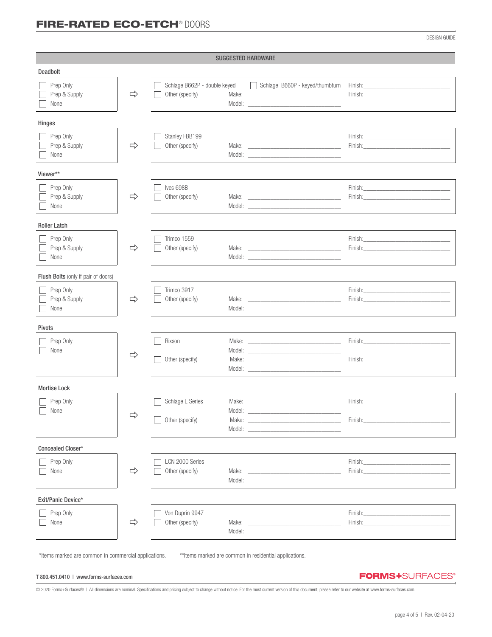DESIGN GUIDE

|                                     |               |                                                 | <b>SUGGESTED HARDWARE</b>                                                                                                                                                                                                                                                                                                                                                                                                                                       |                                                                                                                                                                                                                                                                                                                                                                                                                                                                  |
|-------------------------------------|---------------|-------------------------------------------------|-----------------------------------------------------------------------------------------------------------------------------------------------------------------------------------------------------------------------------------------------------------------------------------------------------------------------------------------------------------------------------------------------------------------------------------------------------------------|------------------------------------------------------------------------------------------------------------------------------------------------------------------------------------------------------------------------------------------------------------------------------------------------------------------------------------------------------------------------------------------------------------------------------------------------------------------|
| <b>Deadbolt</b>                     |               |                                                 |                                                                                                                                                                                                                                                                                                                                                                                                                                                                 |                                                                                                                                                                                                                                                                                                                                                                                                                                                                  |
| Prep Only<br>Prep & Supply<br>None  | $\Rightarrow$ | Schlage B662P - double keyed<br>Other (specify) | Schlage B660P - keyed/thumbturn                                                                                                                                                                                                                                                                                                                                                                                                                                 | Finish: Enterprise of the contract of the contract of the contract of the contract of the contract of the contract of the contract of the contract of the contract of the contract of the contract of the contract of the cont<br><b>Finish: Example 2008</b>                                                                                                                                                                                                    |
| Hinges                              |               |                                                 |                                                                                                                                                                                                                                                                                                                                                                                                                                                                 |                                                                                                                                                                                                                                                                                                                                                                                                                                                                  |
| Prep Only<br>Prep & Supply<br>None  | $\Rightarrow$ | Stanley FBB199<br>Other (specify)               | Model: New York and the state of the state of the state of the state of the state of the state of the state of the state of the state of the state of the state of the state of the state of the state of the state of the sta                                                                                                                                                                                                                                  | Finish: <u>Communication</u><br><b>Finish: Example 2008</b>                                                                                                                                                                                                                                                                                                                                                                                                      |
| Viewer**                            |               |                                                 |                                                                                                                                                                                                                                                                                                                                                                                                                                                                 |                                                                                                                                                                                                                                                                                                                                                                                                                                                                  |
| Prep Only<br>Prep & Supply<br>None  | $\Rightarrow$ | Ives 698B<br>Other (specify)                    |                                                                                                                                                                                                                                                                                                                                                                                                                                                                 | Finish: <b>Example 2018</b>                                                                                                                                                                                                                                                                                                                                                                                                                                      |
| <b>Roller Latch</b>                 |               |                                                 |                                                                                                                                                                                                                                                                                                                                                                                                                                                                 |                                                                                                                                                                                                                                                                                                                                                                                                                                                                  |
| Prep Only<br>Prep & Supply<br>None  | $\Rightarrow$ | Trimco 1559<br>Other (specify)                  | Make: National Commission of the Commission of the Commission of the Commission of the Commission of the Commission                                                                                                                                                                                                                                                                                                                                             | Finish: Enish and the state of the state of the state of the state of the state of the state of the state of the state of the state of the state of the state of the state of the state of the state of the state of the state                                                                                                                                                                                                                                   |
| Flush Bolts (only if pair of doors) |               |                                                 |                                                                                                                                                                                                                                                                                                                                                                                                                                                                 |                                                                                                                                                                                                                                                                                                                                                                                                                                                                  |
| Prep Only<br>Prep & Supply<br>None  | $\Rightarrow$ | Trimco 3917<br>Other (specify)                  | Model: New York and the state of the state of the state of the state of the state of the state of the state of the state of the state of the state of the state of the state of the state of the state of the state of the sta                                                                                                                                                                                                                                  | Finish: The contract of the contract of the contract of the contract of the contract of the contract of the contract of the contract of the contract of the contract of the contract of the contract of the contract of the co<br>Finish: Entrance and the contract of the contract of the contract of the contract of the contract of the contract of the contract of the contract of the contract of the contract of the contract of the contract of the contr |
| Pivots                              |               |                                                 |                                                                                                                                                                                                                                                                                                                                                                                                                                                                 |                                                                                                                                                                                                                                                                                                                                                                                                                                                                  |
| Prep Only<br>None                   | $\Rightarrow$ | Rixson<br>Other (specify)                       |                                                                                                                                                                                                                                                                                                                                                                                                                                                                 | Finish: Enish: Enish: Enish: Enish: Enish: Enish: Enish: Enish: Enish: Enish: Enish: Enish: Enish: E<br>Finish: Enion Production Contract Contract Contract Contract Contract Contract Contract Contract Contract Contract Contract Contract Contract Contract Contract Contract Contract Contract Contract Contract Contract Contract                                                                                                                           |
| <b>Mortise Lock</b>                 |               |                                                 |                                                                                                                                                                                                                                                                                                                                                                                                                                                                 |                                                                                                                                                                                                                                                                                                                                                                                                                                                                  |
| Prep Only<br>$\Box$ None            | $\Rightarrow$ | Schlage L Series<br>Model:<br>Other (specify)   | Make: The contract of the contract of the contract of the contract of the contract of the contract of the contract of the contract of the contract of the contract of the contract of the contract of the contract of the cont<br>Model: New York and the Commission of the Commission of the Commission of the Commission of the Commission of the Commission of the Commission of the Commission of the Commission of the Commission of the Commission of the | Finish:<br>Finish:                                                                                                                                                                                                                                                                                                                                                                                                                                               |
| Concealed Closer*                   |               |                                                 |                                                                                                                                                                                                                                                                                                                                                                                                                                                                 |                                                                                                                                                                                                                                                                                                                                                                                                                                                                  |
| Prep Only<br>None                   | $\Rightarrow$ | LCN 2000 Series<br>Other (specify)              |                                                                                                                                                                                                                                                                                                                                                                                                                                                                 | Finish: The contract of the contract of the contract of the contract of the contract of the contract of the contract of the contract of the contract of the contract of the contract of the contract of the contract of the co<br>Finish: The Contract of the Contract of the Contract of the Contract of the Contract of the Contract of the Contract of the Contract of the Contract of the Contract of the Contract of the Contract of the Contract of the Co |
| Exit/Panic Device*                  |               |                                                 |                                                                                                                                                                                                                                                                                                                                                                                                                                                                 |                                                                                                                                                                                                                                                                                                                                                                                                                                                                  |
| Prep Only<br>None                   | $\Rightarrow$ | Von Duprin 9947<br>Other (specify)              | Make: <u>www.communications.com</u><br>Model: New York Products and the Contract of the Contract of the Contract of the Contract of the Contract of the Contract of the Contract of the Contract of the Contract of the Contract of the Contract of the Contract of t                                                                                                                                                                                           | Finish:<br>Finish:                                                                                                                                                                                                                                                                                                                                                                                                                                               |

\*Items marked are common in commercial applications. \*\*Items marked are common in residential applications.

### T 800.451.0410 | www.forms-surfaces.com

**FORMS+**SURFACES®